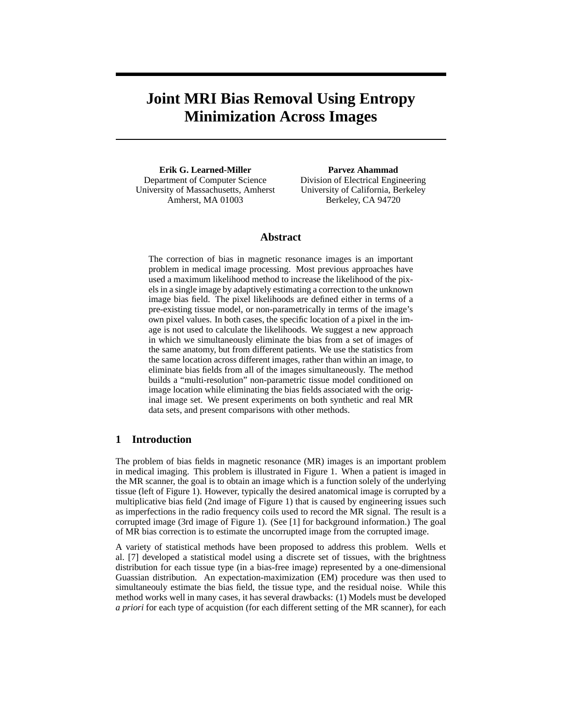# **Joint MRI Bias Removal Using Entropy Minimization Across Images**

**Erik G. Learned-Miller** Department of Computer Science University of Massachusetts, Amherst Amherst, MA 01003

**Parvez Ahammad** Division of Electrical Engineering University of California, Berkeley Berkeley, CA 94720

### **Abstract**

The correction of bias in magnetic resonance images is an important problem in medical image processing. Most previous approaches have used a maximum likelihood method to increase the likelihood of the pixels in a single image by adaptively estimating a correction to the unknown image bias field. The pixel likelihoods are defined either in terms of a pre-existing tissue model, or non-parametrically in terms of the image's own pixel values. In both cases, the specific location of a pixel in the image is not used to calculate the likelihoods. We suggest a new approach in which we simultaneously eliminate the bias from a set of images of the same anatomy, but from different patients. We use the statistics from the same location across different images, rather than within an image, to eliminate bias fields from all of the images simultaneously. The method builds a "multi-resolution" non-parametric tissue model conditioned on image location while eliminating the bias fields associated with the original image set. We present experiments on both synthetic and real MR data sets, and present comparisons with other methods.

## **1 Introduction**

The problem of bias fields in magnetic resonance (MR) images is an important problem in medical imaging. This problem is illustrated in Figure 1. When a patient is imaged in the MR scanner, the goal is to obtain an image which is a function solely of the underlying tissue (left of Figure 1). However, typically the desired anatomical image is corrupted by a multiplicative bias field (2nd image of Figure 1) that is caused by engineering issues such as imperfections in the radio frequency coils used to record the MR signal. The result is a corrupted image (3rd image of Figure 1). (See [1] for background information.) The goal of MR bias correction is to estimate the uncorrupted image from the corrupted image.

A variety of statistical methods have been proposed to address this problem. Wells et al. [7] developed a statistical model using a discrete set of tissues, with the brightness distribution for each tissue type (in a bias-free image) represented by a one-dimensional Guassian distribution. An expectation-maximization (EM) procedure was then used to simultaneouly estimate the bias field, the tissue type, and the residual noise. While this method works well in many cases, it has several drawbacks: (1) Models must be developed *a priori* for each type of acquistion (for each different setting of the MR scanner), for each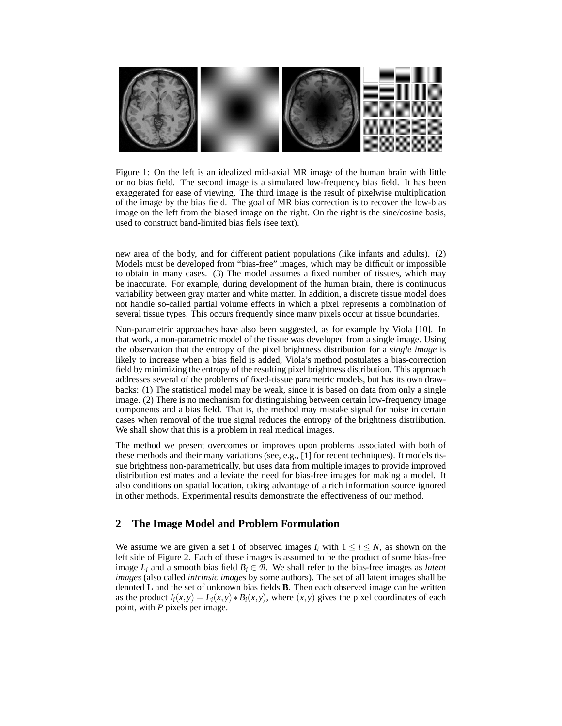

Figure 1: On the left is an idealized mid-axial MR image of the human brain with little or no bias field. The second image is a simulated low-frequency bias field. It has been exaggerated for ease of viewing. The third image is the result of pixelwise multiplication of the image by the bias field. The goal of MR bias correction is to recover the low-bias image on the left from the biased image on the right. On the right is the sine/cosine basis, used to construct band-limited bias fiels (see text).

new area of the body, and for different patient populations (like infants and adults). (2) Models must be developed from "bias-free" images, which may be difficult or impossible to obtain in many cases. (3) The model assumes a fixed number of tissues, which may be inaccurate. For example, during development of the human brain, there is continuous variability between gray matter and white matter. In addition, a discrete tissue model does not handle so-called partial volume effects in which a pixel represents a combination of several tissue types. This occurs frequently since many pixels occur at tissue boundaries.

Non-parametric approaches have also been suggested, as for example by Viola [10]. In that work, a non-parametric model of the tissue was developed from a single image. Using the observation that the entropy of the pixel brightness distribution for a *single image* is likely to increase when a bias field is added, Viola's method postulates a bias-correction field by minimizing the entropy of the resulting pixel brightness distribution. This approach addresses several of the problems of fixed-tissue parametric models, but has its own drawbacks: (1) The statistical model may be weak, since it is based on data from only a single image. (2) There is no mechanism for distinguishing between certain low-frequency image components and a bias field. That is, the method may mistake signal for noise in certain cases when removal of the true signal reduces the entropy of the brightness distriibution. We shall show that this is a problem in real medical images.

The method we present overcomes or improves upon problems associated with both of these methods and their many variations (see, e.g., [1] for recent techniques). It models tissue brightness non-parametrically, but uses data from multiple images to provide improved distribution estimates and alleviate the need for bias-free images for making a model. It also conditions on spatial location, taking advantage of a rich information source ignored in other methods. Experimental results demonstrate the effectiveness of our method.

# **2 The Image Model and Problem Formulation**

We assume we are given a set **I** of observed images  $I_i$  with  $1 \leq i \leq N$ , as shown on the left side of Figure 2. Each of these images is assumed to be the product of some bias-free image  $L_i$  and a smooth bias field  $B_i \in \mathcal{B}$ . We shall refer to the bias-free images as *latent images* (also called *intrinsic images* by some authors). The set of all latent images shall be denoted **L** and the set of unknown bias fields **B**. Then each observed image can be written as the product  $I_i(x, y) = L_i(x, y) * B_i(x, y)$ , where  $(x, y)$  gives the pixel coordinates of each point, with *P* pixels per image.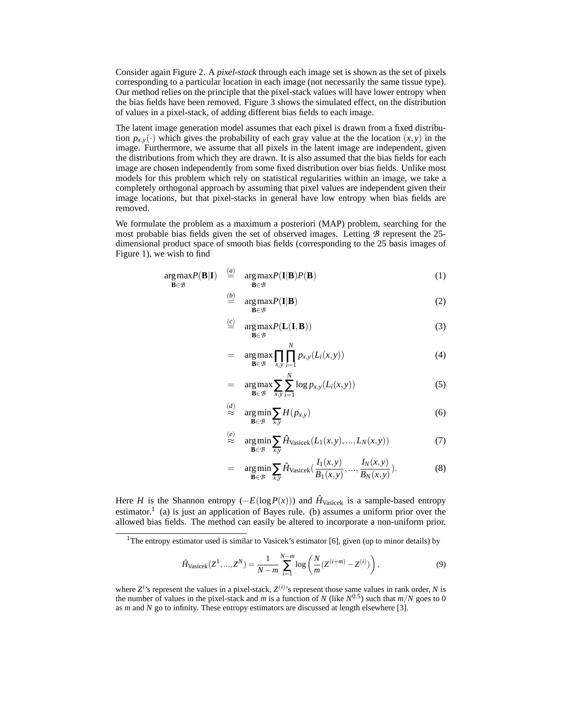Consider again Figure 2. A *pixel-stack* through each image set is shown as the set of pixels corresponding to a particular location in each image (not necessarily the same tissue type). Our method relies on the principle that the pixel-stack values will have lower entropy when the bias fields have been removed. Figure 3 shows the simulated effect, on the distribution of values in a pixel-stack, of adding different bias fields to each image.

The latent image generation model assumes that each pixel is drawn from a fixed distribution  $p_{x,y}(\cdot)$  which gives the probability of each gray value at the the location  $(x, y)$  in the image. Furthermore, we assume that all pixels in the latent image are independent, given the distributions from which they are drawn. It is also assumed that the bias fields for each image are chosen independently from some fixed distribution over bias fields. Unlike most models for this problem which rely on statistical regularities within an image, we take a completely orthogonal approach by assuming that pixel values are independent given their image locations, but that pixel-stacks in general have low entropy when bias fields are removed.

We formulate the problem as a maximum a posteriori (MAP) problem, searching for the most probable bias fields given the set of observed images. Letting  $\beta$  represent the 25dimensional product space of smooth bias fields (corresponding to the 25 basis images of Figure 1), we wish to find

$$
\underset{\mathbf{B}\in\mathcal{B}}{\arg\max} P(\mathbf{B}|\mathbf{I}) \stackrel{(a)}{=} \underset{\mathbf{B}\in\mathcal{B}}{\arg\max} P(\mathbf{I}|\mathbf{B}) P(\mathbf{B}) \tag{1}
$$

$$
\stackrel{(b)}{=} \arg \max_{\mathbf{B} \in \mathcal{B}} P(\mathbf{I}|\mathbf{B}) \tag{2}
$$

$$
\stackrel{(c)}{=} \arg \max_{\mathbf{B} \in \mathcal{B}} P(\mathbf{L}(\mathbf{I}, \mathbf{B})) \tag{3}
$$

$$
= \arg \max_{\mathbf{B} \in \mathcal{B}} \prod_{x,y} \prod_{i=1}^{N} p_{x,y}(L_i(x,y)) \tag{4}
$$

$$
= \arg \max_{\mathbf{B} \in \mathcal{B}} \sum_{x,y} \sum_{i=1}^{N} \log p_{x,y}(L_i(x,y)) \tag{5}
$$

$$
\stackrel{(d)}{\approx} \argmin_{\mathbf{B}\in\mathcal{B}} \sum_{x,y} H(p_{x,y})
$$
\n(6)

$$
\stackrel{(e)}{\approx} \arg\min_{\mathbf{B}\in\mathcal{B}} \sum_{x,y} \hat{H}_{\text{Vasicek}}(L_1(x,y),...,L_N(x,y)) \tag{7}
$$

$$
= \arg\min_{\mathbf{B}\in\mathcal{B}} \sum_{x,y} \hat{H}_{\text{Vasicek}}\left(\frac{I_1(x,y)}{B_1(x,y)}, \dots, \frac{I_N(x,y)}{B_N(x,y)}\right). \tag{8}
$$

Here *H* is the Shannon entropy  $(-E(\log P(x)))$  and  $\hat{H}_{\text{Vasicek}}$  is a sample-based entropy estimator.<sup>1</sup> (a) is just an application of Bayes rule. (b) assumes a uniform prior over the allowed bias fields. The method can easily be altered to incorporate a non-uniform prior.

$$
\hat{H}_{\text{Vasicek}}(Z^1, ..., Z^N) = \frac{1}{N-m} \sum_{i=1}^{N-m} \log \left( \frac{N}{m} (Z^{(i+m)} - Z^{(i)}) \right),\tag{9}
$$

<sup>&</sup>lt;sup>1</sup>The entropy estimator used is similar to Vasicek's estimator [6], given (up to minor details) by

where  $Z^{i}$ 's represent the values in a pixel-stack,  $Z^{(i)}$ 's represent those same values in rank order, *N* is the number of values in the pixel-stack and *m* is a function of *N* (like  $N^{0.5}$ ) such that  $m/N$  goes to 0 as *m* and *N* go to infinity. These entropy estimators are discussed at length elsewhere [3].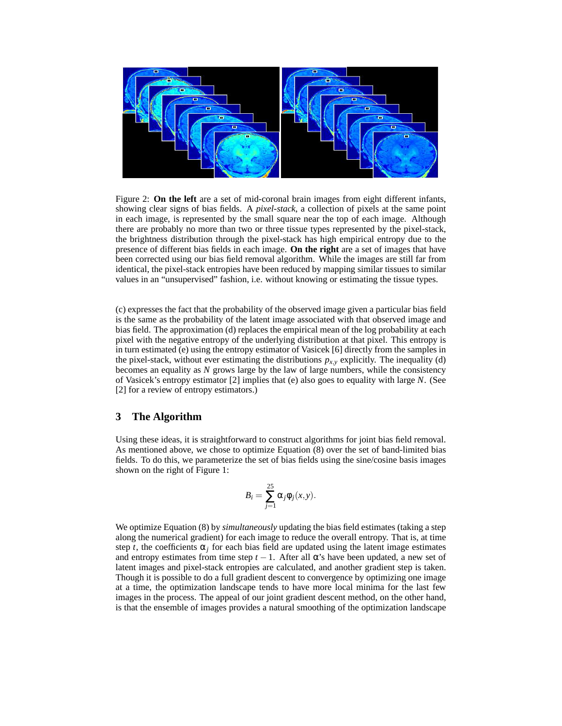

Figure 2: **On the left** are a set of mid-coronal brain images from eight different infants, showing clear signs of bias fields. A *pixel-stack*, a collection of pixels at the same point in each image, is represented by the small square near the top of each image. Although there are probably no more than two or three tissue types represented by the pixel-stack, the brightness distribution through the pixel-stack has high empirical entropy due to the presence of different bias fields in each image. **On the right** are a set of images that have been corrected using our bias field removal algorithm. While the images are still far from identical, the pixel-stack entropies have been reduced by mapping similar tissues to similar values in an "unsupervised" fashion, i.e. without knowing or estimating the tissue types.

(c) expresses the fact that the probability of the observed image given a particular bias field is the same as the probability of the latent image associated with that observed image and bias field. The approximation (d) replaces the empirical mean of the log probability at each pixel with the negative entropy of the underlying distribution at that pixel. This entropy is in turn estimated (e) using the entropy estimator of Vasicek [6] directly from the samples in the pixel-stack, without ever estimating the distributions  $p_{x,y}$  explicitly. The inequality (d) becomes an equality as *N* grows large by the law of large numbers, while the consistency of Vasicek's entropy estimator [2] implies that (e) also goes to equality with large *N*. (See [2] for a review of entropy estimators.)

#### **3 The Algorithm**

Using these ideas, it is straightforward to construct algorithms for joint bias field removal. As mentioned above, we chose to optimize Equation (8) over the set of band-limited bias fields. To do this, we parameterize the set of bias fields using the sine/cosine basis images shown on the right of Figure 1:

$$
B_i = \sum_{j=1}^{25} \alpha_j \phi_j(x, y).
$$

We optimize Equation (8) by *simultaneously* updating the bias field estimates (taking a step along the numerical gradient) for each image to reduce the overall entropy. That is, at time step *t*, the coefficients  $\alpha_j$  for each bias field are updated using the latent image estimates and entropy estimates from time step  $t - 1$ . After all  $\alpha$ 's have been updated, a new set of latent images and pixel-stack entropies are calculated, and another gradient step is taken. Though it is possible to do a full gradient descent to convergence by optimizing one image at a time, the optimization landscape tends to have more local minima for the last few images in the process. The appeal of our joint gradient descent method, on the other hand, is that the ensemble of images provides a natural smoothing of the optimization landscape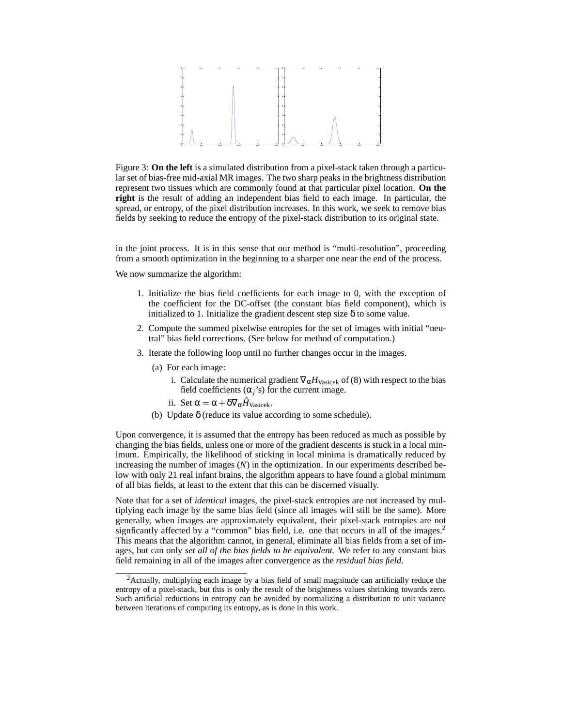

Figure 3: **On the left** is a simulated distribution from a pixel-stack taken through a particular set of bias-free mid-axial MR images. The two sharp peaks in the brightness distribution represent two tissues which are commonly found at that particular pixel location. **On the right** is the result of adding an independent bias field to each image. In particular, the spread, or entropy, of the pixel distribution increases. In this work, we seek to remove bias fields by seeking to reduce the entropy of the pixel-stack distribution to its original state.

in the joint process. It is in this sense that our method is "multi-resolution", proceeding from a smooth optimization in the beginning to a sharper one near the end of the process.

We now summarize the algorithm:

- 1. Initialize the bias field coefficients for each image to 0, with the exception of the coefficient for the DC-offset (the constant bias field component), which is initialized to 1. Initialize the gradient descent step size  $\delta$  to some value.
- 2. Compute the summed pixelwise entropies for the set of images with initial "neutral" bias field corrections. (See below for method of computation.)
- 3. Iterate the following loop until no further changes occur in the images.
	- (a) For each image:
		- i. Calculate the numerical gradient  $\nabla_{\alpha}H_{\text{Vasicek}}$  of (8) with respect to the bias field coefficients  $(\alpha_i)$ <sup>'s</sup>) for the current image.
		- ii. Set  $\alpha = \alpha + \delta \nabla_{\alpha} \hat{H}_{\text{Vasicek}}$ .
	- (b) Update δ (reduce its value according to some schedule).

Upon convergence, it is assumed that the entropy has been reduced as much as possible by changing the bias fields, unless one or more of the gradient descents is stuck in a local minimum. Empirically, the likelihood of sticking in local minima is dramatically reduced by increasing the number of images (*N*) in the optimization. In our experiments described below with only 21 real infant brains, the algorithm appears to have found a global minimum of all bias fields, at least to the extent that this can be discerned visually.

Note that for a set of *identical* images, the pixel-stack entropies are not increased by multiplying each image by the same bias field (since all images will still be the same). More generally, when images are approximately equivalent, their pixel-stack entropies are not signficantly affected by a "common" bias field, i.e. one that occurs in all of the images.<sup>2</sup> This means that the algorithm cannot, in general, eliminate all bias fields from a set of images, but can only *set all of the bias fields to be equivalent.* We refer to any constant bias field remaining in all of the images after convergence as the *residual bias field*.

<sup>&</sup>lt;sup>2</sup> Actually, multiplying each image by a bias field of small magnitude can artificially reduce the entropy of a pixel-stack, but this is only the result of the brightness values shrinking towards zero. Such artificial reductions in entropy can be avoided by normalizing a distribution to unit variance between iterations of computing its entropy, as is done in this work.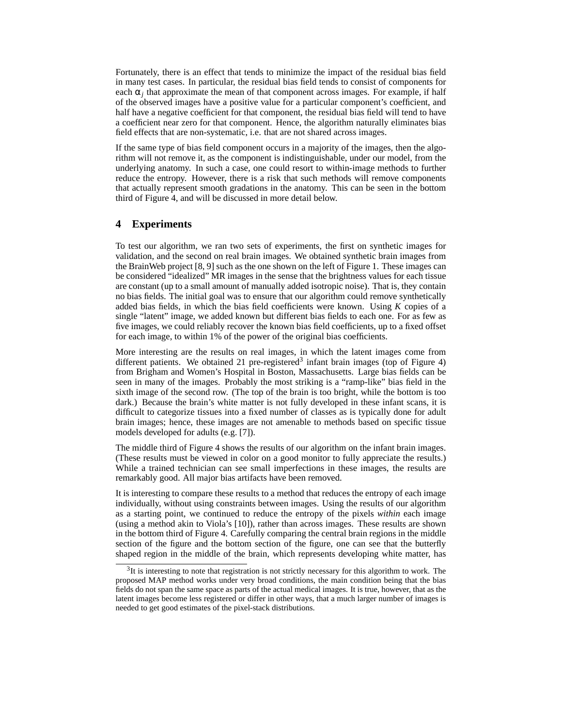Fortunately, there is an effect that tends to minimize the impact of the residual bias field in many test cases. In particular, the residual bias field tends to consist of components for each  $\alpha_j$  that approximate the mean of that component across images. For example, if half of the observed images have a positive value for a particular component's coefficient, and half have a negative coefficient for that component, the residual bias field will tend to have a coefficient near zero for that component. Hence, the algorithm naturally eliminates bias field effects that are non-systematic, i.e. that are not shared across images.

If the same type of bias field component occurs in a majority of the images, then the algorithm will not remove it, as the component is indistinguishable, under our model, from the underlying anatomy. In such a case, one could resort to within-image methods to further reduce the entropy. However, there is a risk that such methods will remove components that actually represent smooth gradations in the anatomy. This can be seen in the bottom third of Figure 4, and will be discussed in more detail below.

## **4 Experiments**

To test our algorithm, we ran two sets of experiments, the first on synthetic images for validation, and the second on real brain images. We obtained synthetic brain images from the BrainWeb project [8, 9] such as the one shown on the left of Figure 1. These images can be considered "idealized" MR images in the sense that the brightness values for each tissue are constant (up to a small amount of manually added isotropic noise). That is, they contain no bias fields. The initial goal was to ensure that our algorithm could remove synthetically added bias fields, in which the bias field coefficients were known. Using  $K$  copies of a single "latent" image, we added known but different bias fields to each one. For as few as five images, we could reliably recover the known bias field coefficients, up to a fixed offset for each image, to within 1% of the power of the original bias coefficients.

More interesting are the results on real images, in which the latent images come from different patients. We obtained 21 pre-registered<sup>3</sup> infant brain images (top of Figure 4) from Brigham and Women's Hospital in Boston, Massachusetts. Large bias fields can be seen in many of the images. Probably the most striking is a "ramp-like" bias field in the sixth image of the second row. (The top of the brain is too bright, while the bottom is too dark.) Because the brain's white matter is not fully developed in these infant scans, it is difficult to categorize tissues into a fixed number of classes as is typically done for adult brain images; hence, these images are not amenable to methods based on specific tissue models developed for adults (e.g. [7]).

The middle third of Figure 4 shows the results of our algorithm on the infant brain images. (These results must be viewed in color on a good monitor to fully appreciate the results.) While a trained technician can see small imperfections in these images, the results are remarkably good. All major bias artifacts have been removed.

It is interesting to compare these results to a method that reduces the entropy of each image individually, without using constraints between images. Using the results of our algorithm as a starting point, we continued to reduce the entropy of the pixels *within* each image (using a method akin to Viola's [10]), rather than across images. These results are shown in the bottom third of Figure 4. Carefully comparing the central brain regions in the middle section of the figure and the bottom section of the figure, one can see that the butterfly shaped region in the middle of the brain, which represents developing white matter, has

 $3$ It is interesting to note that registration is not strictly necessary for this algorithm to work. The proposed MAP method works under very broad conditions, the main condition being that the bias fields do not span the same space as parts of the actual medical images. It is true, however, that as the latent images become less registered or differ in other ways, that a much larger number of images is needed to get good estimates of the pixel-stack distributions.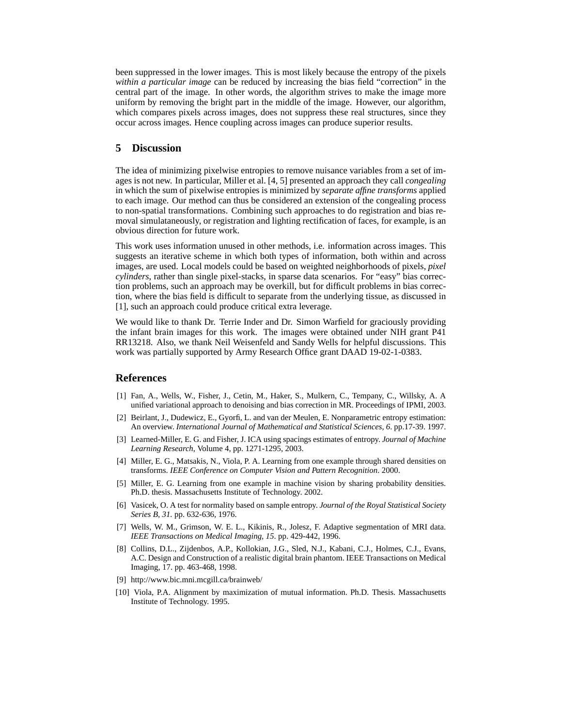been suppressed in the lower images. This is most likely because the entropy of the pixels *within a particular image* can be reduced by increasing the bias field "correction" in the central part of the image. In other words, the algorithm strives to make the image more uniform by removing the bright part in the middle of the image. However, our algorithm, which compares pixels across images, does not suppress these real structures, since they occur across images. Hence coupling across images can produce superior results.

## **5 Discussion**

The idea of minimizing pixelwise entropies to remove nuisance variables from a set of images is not new. In particular, Miller et al. [4, 5] presented an approach they call *congealing* in which the sum of pixelwise entropies is minimized by *separate affine transforms* applied to each image. Our method can thus be considered an extension of the congealing process to non-spatial transformations. Combining such approaches to do registration and bias removal simulataneously, or registration and lighting rectification of faces, for example, is an obvious direction for future work.

This work uses information unused in other methods, i.e. information across images. This suggests an iterative scheme in which both types of information, both within and across images, are used. Local models could be based on weighted neighborhoods of pixels, *pixel cylinders*, rather than single pixel-stacks, in sparse data scenarios. For "easy" bias correction problems, such an approach may be overkill, but for difficult problems in bias correction, where the bias field is difficult to separate from the underlying tissue, as discussed in [1], such an approach could produce critical extra leverage.

We would like to thank Dr. Terrie Inder and Dr. Simon Warfield for graciously providing the infant brain images for this work. The images were obtained under NIH grant P41 RR13218. Also, we thank Neil Weisenfeld and Sandy Wells for helpful discussions. This work was partially supported by Army Research Office grant DAAD 19-02-1-0383.

#### **References**

- [1] Fan, A., Wells, W., Fisher, J., Cetin, M., Haker, S., Mulkern, C., Tempany, C., Willsky, A. A unified variational approach to denoising and bias correction in MR. Proceedings of IPMI, 2003.
- [2] Beirlant, J., Dudewicz, E., Gyorfi, L. and van der Meulen, E. Nonparametric entropy estimation: An overview. *International Journal of Mathematical and Statistical Sciences, 6*. pp.17-39. 1997.
- [3] Learned-Miller, E. G. and Fisher, J. ICA using spacings estimates of entropy. *Journal of Machine Learning Research*, Volume 4, pp. 1271-1295, 2003.
- [4] Miller, E. G., Matsakis, N., Viola, P. A. Learning from one example through shared densities on transforms. *IEEE Conference on Computer Vision and Pattern Recognition*. 2000.
- [5] Miller, E. G. Learning from one example in machine vision by sharing probability densities. Ph.D. thesis. Massachusetts Institute of Technology. 2002.
- [6] Vasicek, O. A test for normality based on sample entropy. *Journal of the Royal Statistical Society Series B, 31.* pp. 632-636, 1976.
- [7] Wells, W. M., Grimson, W. E. L., Kikinis, R., Jolesz, F. Adaptive segmentation of MRI data. *IEEE Transactions on Medical Imaging, 15*. pp. 429-442, 1996.
- [8] Collins, D.L., Zijdenbos, A.P., Kollokian, J.G., Sled, N.J., Kabani, C.J., Holmes, C.J., Evans, A.C. Design and Construction of a realistic digital brain phantom. IEEE Transactions on Medical Imaging, 17. pp. 463-468, 1998.
- [9] http://www.bic.mni.mcgill.ca/brainweb/
- [10] Viola, P.A. Alignment by maximization of mutual information. Ph.D. Thesis. Massachusetts Institute of Technology. 1995.